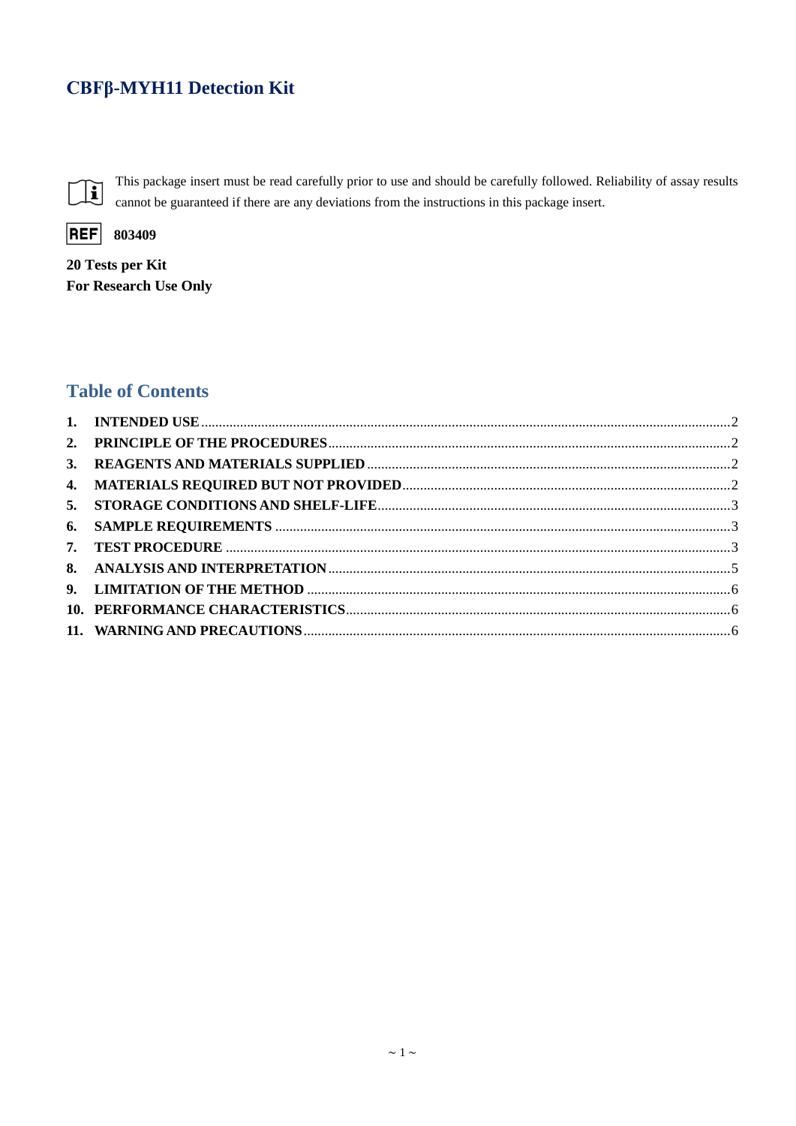# CBFβ-MYH11 Detection Kit



This package insert must be read carefully prior to use and should be carefully followed. Reliability of assay results cannot be guaranteed if there are any deviations from the instructions in this package insert.



20 Tests per Kit For Research Use Only

# **Table of Contents**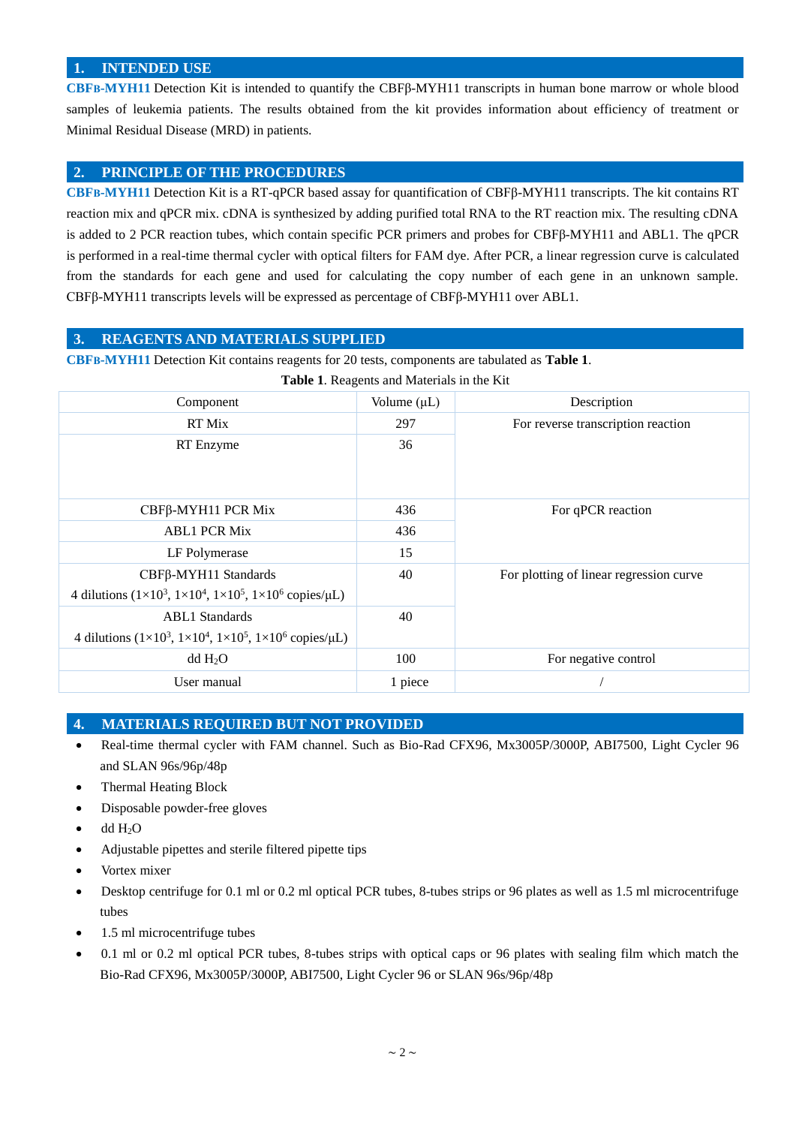## <span id="page-1-0"></span>**1. INTENDED USE**

**CBFΒ-MYH11** Detection Kit is intended to quantify the CBFβ-MYH11 transcripts in human bone marrow or whole blood samples of leukemia patients. The results obtained from the kit provides information about efficiency of treatment or Minimal Residual Disease (MRD) in patients.

# <span id="page-1-1"></span>**2. PRINCIPLE OF THE PROCEDURES**

**CBFΒ-MYH11** Detection Kit is a RT-qPCR based assay for quantification of CBFβ-MYH11 transcripts. The kit contains RT reaction mix and qPCR mix. cDNA is synthesized by adding purified total RNA to the RT reaction mix. The resulting cDNA is added to 2 PCR reaction tubes, which contain specific PCR primers and probes for CBFβ-MYH11 and ABL1. The qPCR is performed in a real-time thermal cycler with optical filters for FAM dye. After PCR, a linear regression curve is calculated from the standards for each gene and used for calculating the copy number of each gene in an unknown sample. CBFβ-MYH11 transcripts levels will be expressed as percentage of CBFβ-MYH11 over ABL1.

#### <span id="page-1-2"></span>**3. REAGENTS AND MATERIALS SUPPLIED**

**CBFΒ-MYH11** Detection Kit contains reagents for 20 tests, components are tabulated as **Table 1**.

| Table 1. Reagents and Materials in the Kit                                                 |                  |                                         |  |  |  |  |
|--------------------------------------------------------------------------------------------|------------------|-----------------------------------------|--|--|--|--|
| Component                                                                                  | Volume $(\mu L)$ | Description                             |  |  |  |  |
| RT Mix                                                                                     | 297              | For reverse transcription reaction      |  |  |  |  |
| RT Enzyme                                                                                  | 36               |                                         |  |  |  |  |
| CBFβ-MYH11 PCR Mix                                                                         | 436              | For qPCR reaction                       |  |  |  |  |
| <b>ABL1 PCR Mix</b>                                                                        | 436              |                                         |  |  |  |  |
| LF Polymerase                                                                              | 15               |                                         |  |  |  |  |
| CBFβ-MYH11 Standards                                                                       | 40               | For plotting of linear regression curve |  |  |  |  |
| 4 dilutions $(1 \times 10^3, 1 \times 10^4, 1 \times 10^5, 1 \times 10^6$ copies/ $\mu$ L) |                  |                                         |  |  |  |  |
| <b>ABL1</b> Standards                                                                      | 40               |                                         |  |  |  |  |
| 4 dilutions $(1 \times 10^3, 1 \times 10^4, 1 \times 10^5, 1 \times 10^6$ copies/µL)       |                  |                                         |  |  |  |  |
| dd H <sub>2</sub> O                                                                        | 100              | For negative control                    |  |  |  |  |
| User manual                                                                                | 1 piece          |                                         |  |  |  |  |

# <span id="page-1-3"></span>**4. MATERIALS REQUIRED BUT NOT PROVIDED**

- Real-time thermal cycler with FAM channel. Such as Bio-Rad CFX96, Mx3005P/3000P, ABI7500, Light Cycler 96 and SLAN 96s/96p/48p
- Thermal Heating Block
- Disposable powder-free gloves
- $\bullet$  dd H<sub>2</sub>O
- Adjustable pipettes and sterile filtered pipette tips
- Vortex mixer
- Desktop centrifuge for 0.1 ml or 0.2 ml optical PCR tubes, 8-tubes strips or 96 plates as well as 1.5 ml microcentrifuge tubes
- 1.5 ml microcentrifuge tubes
- 0.1 ml or 0.2 ml optical PCR tubes, 8-tubes strips with optical caps or 96 plates with sealing film which match the Bio-Rad CFX96, Mx3005P/3000P, ABI7500, Light Cycler 96 or SLAN 96s/96p/48p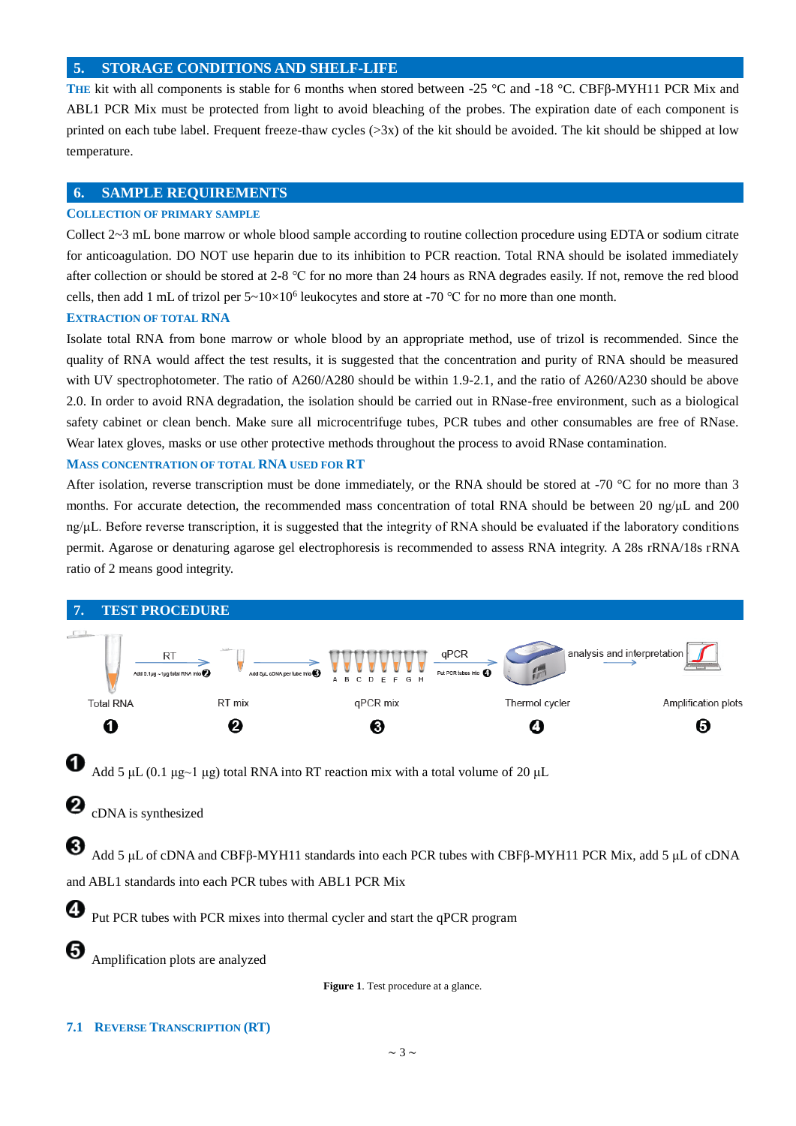#### <span id="page-2-0"></span>**5. STORAGE CONDITIONS AND SHELF-LIFE**

**THE** kit with all components is stable for 6 months when stored between -25 °C and -18 °C. CBFβ-MYH11 PCR Mix and ABL1 PCR Mix must be protected from light to avoid bleaching of the probes. The expiration date of each component is printed on each tube label. Frequent freeze-thaw cycles  $(>\frac{3x}{x})$  of the kit should be avoided. The kit should be shipped at low temperature.

#### <span id="page-2-1"></span>**6. SAMPLE REQUIREMENTS**

#### **COLLECTION OF PRIMARY SAMPLE**

Collect 2~3 mL bone marrow or whole blood sample according to routine collection procedure using EDTA or sodium citrate for anticoagulation. DO NOT use heparin due to its inhibition to PCR reaction. Total RNA should be isolated immediately after collection or should be stored at 2-8 ℃ for no more than 24 hours as RNA degrades easily. If not, remove the red blood cells, then add 1 mL of trizol per  $5 \times 10 \times 10^6$  leukocytes and store at -70 °C for no more than one month.

## **EXTRACTION OF TOTAL RNA**

Isolate total RNA from bone marrow or whole blood by an appropriate method, use of trizol is recommended. Since the quality of RNA would affect the test results, it is suggested that the concentration and purity of RNA should be measured with UV spectrophotometer. The ratio of A260/A280 should be within 1.9-2.1, and the ratio of A260/A230 should be above 2.0. In order to avoid RNA degradation, the isolation should be carried out in RNase-free environment, such as a biological safety cabinet or clean bench. Make sure all microcentrifuge tubes, PCR tubes and other consumables are free of RNase. Wear latex gloves, masks or use other protective methods throughout the process to avoid RNase contamination.

#### **MASS CONCENTRATION OF TOTAL RNA USED FOR RT**

After isolation, reverse transcription must be done immediately, or the RNA should be stored at -70  $\degree$ C for no more than 3 months. For accurate detection, the recommended mass concentration of total RNA should be between 20 ng/μL and 200 ng/μL. Before reverse transcription, it is suggested that the integrity of RNA should be evaluated if the laboratory conditions permit. Agarose or denaturing agarose gel electrophoresis is recommended to assess RNA integrity. A 28s rRNA/18s rRNA ratio of 2 means good integrity.

<span id="page-2-2"></span>

#### **7.1 REVERSE TRANSCRIPTION (RT)**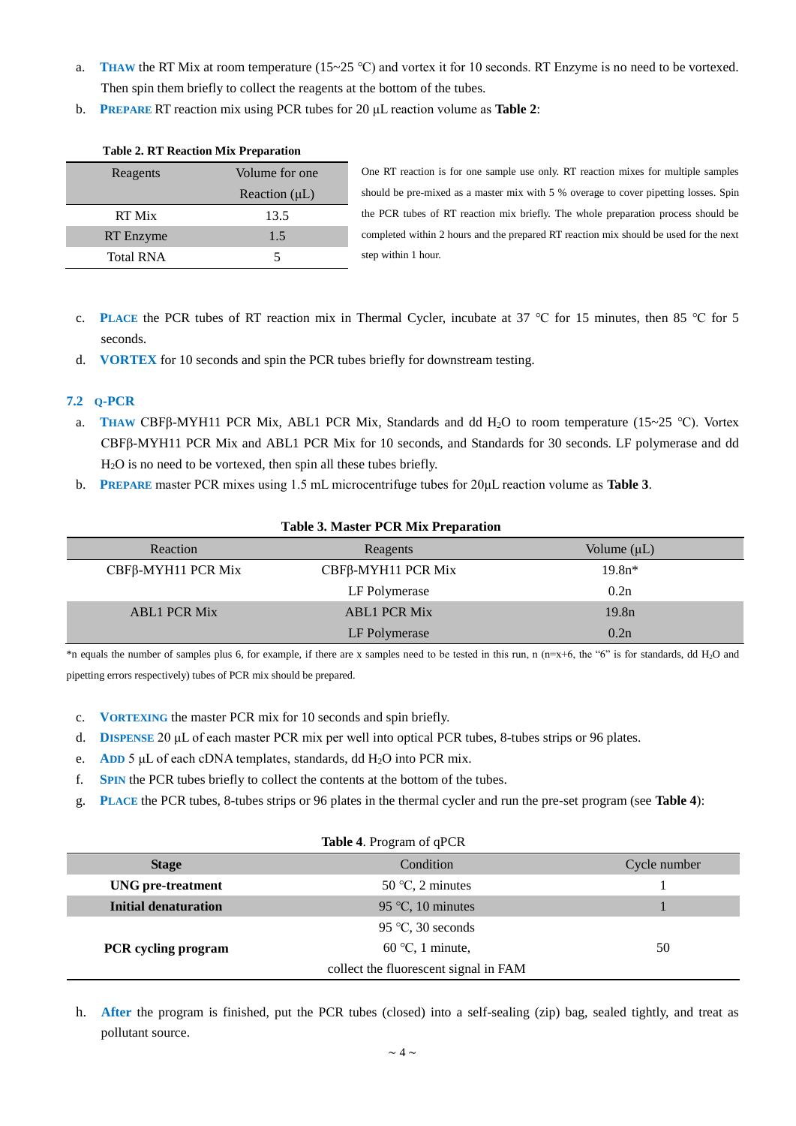- a. **THAW** the RT Mix at room temperature (15~25 °C) and vortex it for 10 seconds. RT Enzyme is no need to be vortexed. Then spin them briefly to collect the reagents at the bottom of the tubes.
- b. **PREPARE** RT reaction mix using PCR tubes for 20 μL reaction volume as **Table 2**:

| Reagents         | Volume for one     |  |
|------------------|--------------------|--|
|                  | Reaction $(\mu L)$ |  |
| RT Mix           | 13.5               |  |
| RT Enzyme        | 1.5                |  |
| <b>Total RNA</b> |                    |  |

#### **Table 2. RT Reaction Mix Preparation**

One RT reaction is for one sample use only. RT reaction mixes for multiple samples should be pre-mixed as a master mix with 5 % overage to cover pipetting losses. Spin the PCR tubes of RT reaction mix briefly. The whole preparation process should be completed within 2 hours and the prepared RT reaction mix should be used for the next step within 1 hour.

- c. **PLACE** the PCR tubes of RT reaction mix in Thermal Cycler, incubate at 37 ℃ for 15 minutes, then 85 ℃ for 5 seconds.
- d. **VORTEX** for 10 seconds and spin the PCR tubes briefly for downstream testing.

#### **7.2 Q-PCR**

- a. **THAW** CBFβ-MYH11 PCR Mix, ABL1 PCR Mix, Standards and dd H2O to room temperature (15~25 ℃). Vortex CBFβ-MYH11 PCR Mix and ABL1 PCR Mix for 10 seconds, and Standards for 30 seconds. LF polymerase and dd H2O is no need to be vortexed, then spin all these tubes briefly.
- b. **PREPARE** master PCR mixes using 1.5 mL microcentrifuge tubes for 20μL reaction volume as **Table 3**.

| <b>Table 3. Master PCR Mix Preparation</b> |                     |                   |  |  |  |
|--------------------------------------------|---------------------|-------------------|--|--|--|
| Reaction                                   | Reagents            | Volume $(\mu L)$  |  |  |  |
| $CBF\beta$ -MYH11 PCR Mix                  | CBFβ-MYH11 PCR Mix  | $19.8n*$          |  |  |  |
|                                            | LF Polymerase       | 0.2n              |  |  |  |
| <b>ABL1 PCR Mix</b>                        | <b>ABL1 PCR Mix</b> | 19.8 <sub>n</sub> |  |  |  |
|                                            | LF Polymerase       | 0.2n              |  |  |  |

# \*n equals the number of samples plus 6, for example, if there are x samples need to be tested in this run, n (n=x+6, the "6" is for standards, dd H<sub>2</sub>O and pipetting errors respectively) tubes of PCR mix should be prepared.

- c. **VORTEXING** the master PCR mix for 10 seconds and spin briefly.
- d. **DISPENSE** 20 μL of each master PCR mix per well into optical PCR tubes, 8-tubes strips or 96 plates.
- e. **ADD** 5 μL of each cDNA templates, standards, dd H<sub>2</sub>O into PCR mix.
- f. **SPIN** the PCR tubes briefly to collect the contents at the bottom of the tubes.
- g. **PLACE** the PCR tubes, 8-tubes strips or 96 plates in the thermal cycler and run the pre-set program (see **Table 4**):

| Table 4. Program of qPCR    |                                       |              |  |  |  |  |
|-----------------------------|---------------------------------------|--------------|--|--|--|--|
| <b>Stage</b>                | Condition                             | Cycle number |  |  |  |  |
| <b>UNG</b> pre-treatment    | $50^{\circ}$ C, 2 minutes             |              |  |  |  |  |
| <b>Initial denaturation</b> | 95 °C, 10 minutes                     |              |  |  |  |  |
|                             | 95 °C, 30 seconds                     |              |  |  |  |  |
| <b>PCR</b> cycling program  | $60^{\circ}$ C, 1 minute,             | 50           |  |  |  |  |
|                             | collect the fluorescent signal in FAM |              |  |  |  |  |

h. **After** the program is finished, put the PCR tubes (closed) into a self-sealing (zip) bag, sealed tightly, and treat as pollutant source.

#### **Table 3. Master PCR Mix Preparation**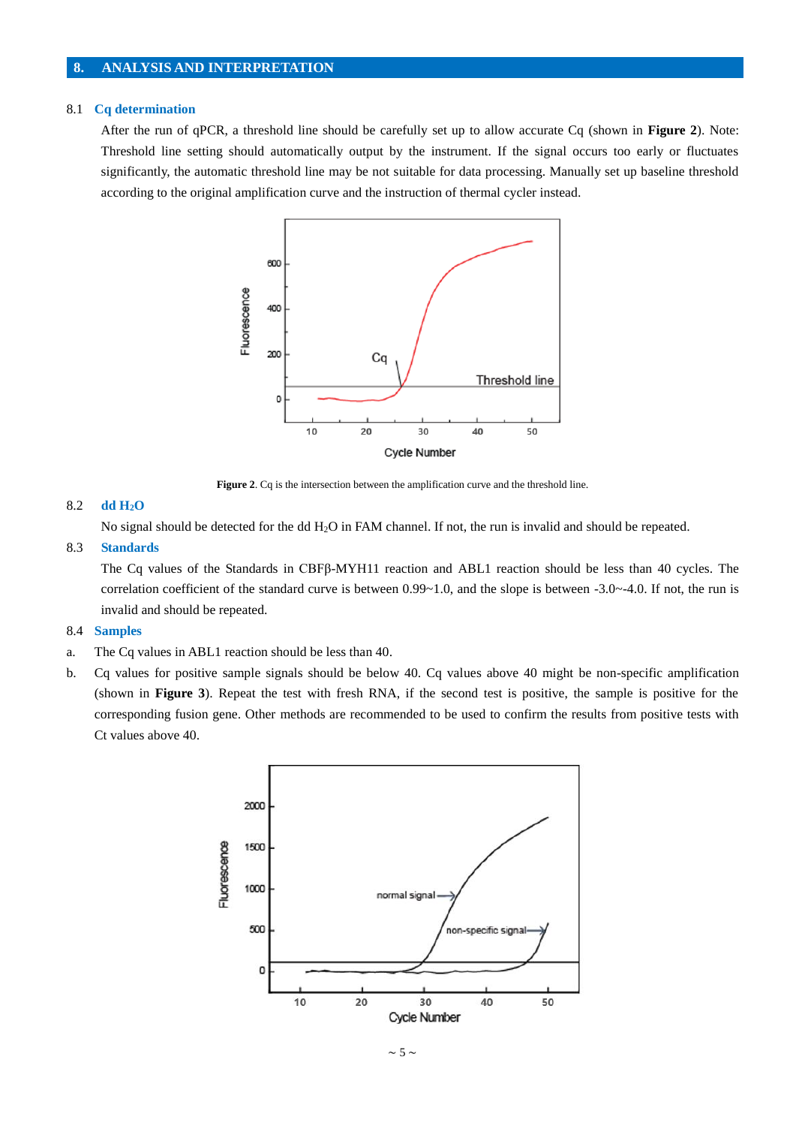## <span id="page-4-0"></span>**8. ANALYSIS AND INTERPRETATION**

#### 8.1 **Cq determination**

After the run of qPCR, a threshold line should be carefully set up to allow accurate Cq (shown in **Figure 2**). Note: Threshold line setting should automatically output by the instrument. If the signal occurs too early or fluctuates significantly, the automatic threshold line may be not suitable for data processing. Manually set up baseline threshold according to the original amplification curve and the instruction of thermal cycler instead.



**Figure 2**. Cq is the intersection between the amplification curve and the threshold line.

#### 8.2 **dd H2O**

No signal should be detected for the dd H2O in FAM channel. If not, the run is invalid and should be repeated.

#### 8.3 **Standards**

The Cq values of the Standards in CBFβ-MYH11 reaction and ABL1 reaction should be less than 40 cycles. The correlation coefficient of the standard curve is between  $0.99 \sim 1.0$ , and the slope is between  $-3.0 \sim -4.0$ . If not, the run is invalid and should be repeated.

#### 8.4 **Samples**

- a. The Cq values in ABL1 reaction should be less than 40.
- b. Cq values for positive sample signals should be below 40. Cq values above 40 might be non-specific amplification (shown in **Figure 3**). Repeat the test with fresh RNA, if the second test is positive, the sample is positive for the corresponding fusion gene. Other methods are recommended to be used to confirm the results from positive tests with Ct values above 40.

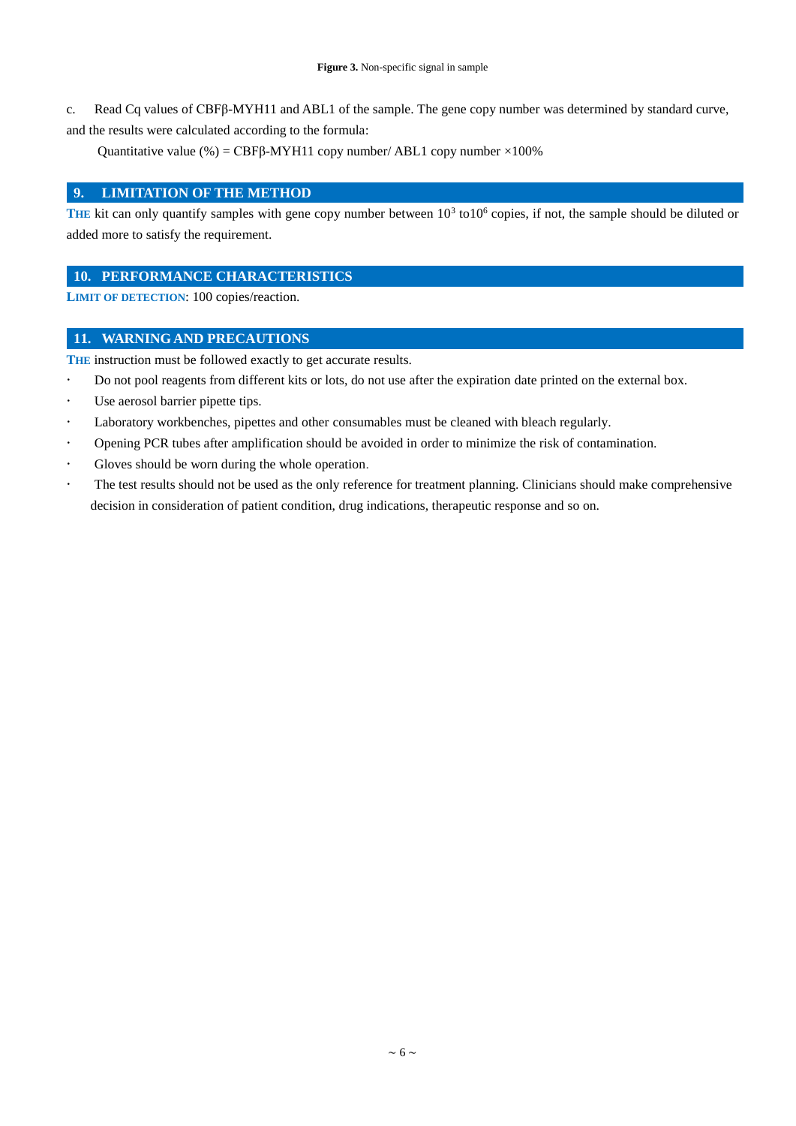c. Read Cq values of CBFβ-MYH11 and ABL1 of the sample. The gene copy number was determined by standard curve, and the results were calculated according to the formula:

Quantitative value (%) = CBFβ-MYH11 copy number/ ABL1 copy number  $×100%$ 

#### <span id="page-5-0"></span>**9. LIMITATION OF THE METHOD**

THE kit can only quantify samples with gene copy number between  $10<sup>3</sup>$  to10<sup>6</sup> copies, if not, the sample should be diluted or added more to satisfy the requirement.

## <span id="page-5-1"></span>**10. PERFORMANCE CHARACTERISTICS**

**LIMIT OF DETECTION**: 100 copies/reaction.

### <span id="page-5-2"></span>**11. WARNING AND PRECAUTIONS**

THE instruction must be followed exactly to get accurate results.

- Do not pool reagents from different kits or lots, do not use after the expiration date printed on the external box.
- Use aerosol barrier pipette tips.
- Laboratory workbenches, pipettes and other [consumables](app:ds:consumables) must be cleaned with bleach regularly.
- Opening PCR tubes after amplification should be avoided in order to minimize the risk of contamination.
- Gloves should be worn during the whole operation.
- The test results should not be used as the only reference for treatment planning. Clinicians should make comprehensive decision in consideration of patient condition, drug indications, therapeutic response and so on.